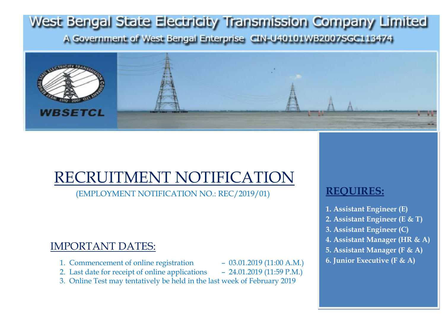# West Bengal State Electricity Transmission Company Limited A Government of West Bengal Enterprise CIN-U40101WB2007SGC113474



# RECRUITMENT NOTIFICATION

(EMPLOYMENT NOTIFICATION NO.: REC/2019/01)

## IMPORTANT DATES:

- 1. Commencement of online registration 03.01.2019 (11:00 A.M.)
- 2. Last date for receipt of online applications 24.01.2019 (11:59 P.M.)
- 3. Online Test may tentatively be held in the last week of February 2019

## **REQUIRES:**

- **1. Assistant Engineer (E)**
- **2. Assistant Engineer (E & T)**
- **3. Assistant Engineer (C)**
- **4. Assistant Manager (HR & A)**
- **5. Assistant Manager (F & A)**
- **6. Junior Executive (F & A)**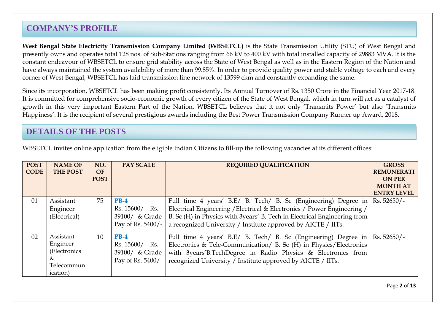## **COMPANY'S PROFILE**

**West Bengal State Electricity Transmission Company Limited (WBSETCL)** is the State Transmission Utility (STU) of West Bengal and presently owns and operates total 128 nos. of Sub-Stations ranging from 66 kV to 400 kV with total installed capacity of 29883 MVA. It is the constant endeavour of WBSETCL to ensure grid stability across the State of West Bengal as well as in the Eastern Region of the Nation and have always maintained the system availability of more than 99.85%. In order to provide quality power and stable voltage to each and every corner of West Bengal, WBSETCL has laid transmission line network of 13599 ckm and constantly expanding the same.

Since its incorporation, WBSETCL has been making profit consistently. Its Annual Turnover of Rs. 1350 Crore in the Financial Year 2017-18. It is committed for comprehensive socio-economic growth of every citizen of the State of West Bengal, which in turn will act as a catalyst of growth in this very important Eastern Part of the Nation. WBSETCL believes that it not only "Transmits Power" but also "Transmits Happiness'. It is the recipient of several prestigious awards including the Best Power Transmission Company Runner up Award, 2018.

## **DETAILS OF THE POSTS**

| <b>POST</b><br><b>CODE</b> | <b>NAME OF</b><br><b>THE POST</b>                                    | NO.<br><b>OF</b><br><b>POST</b> | <b>PAY SCALE</b>                                                    | <b>REQUIRED QUALIFICATION</b>                                                                                                                                                                                                                                                          | <b>GROSS</b><br><b>REMUNERATI</b><br><b>ON PER</b><br><b>MONTH AT</b><br><b>ENTRY LEVEL</b> |
|----------------------------|----------------------------------------------------------------------|---------------------------------|---------------------------------------------------------------------|----------------------------------------------------------------------------------------------------------------------------------------------------------------------------------------------------------------------------------------------------------------------------------------|---------------------------------------------------------------------------------------------|
| 01                         | Assistant<br>Engineer<br>(Electrical)                                | 75                              | $PB-4$<br>$Rs. 15600/- Rs.$<br>39100/- & Grade<br>Pay of Rs. 5400/- | Full time 4 years' B.E/ B. Tech/ B. Sc (Engineering) Degree in<br>Electrical Engineering / Electrical & Electronics / Power Engineering /<br>B. Sc (H) in Physics with 3years' B. Tech in Electrical Engineering from<br>a recognized University / Institute approved by AICTE / IITs. | $Rs. 52650/-$                                                                               |
| 02                         | Assistant<br>Engineer<br>(Electronics<br>&<br>Telecommun<br>ication) | 10                              | $PB-4$<br>$Rs. 15600/- Rs.$<br>39100/- & Grade<br>Pay of Rs. 5400/- | Full time 4 years' B.E/ B. Tech/ B. Sc (Engineering) Degree in<br>Electronics & Tele-Communication/ B. Sc (H) in Physics/Electronics<br>with 3years'B.TechDegree in Radio Physics & Electronics from<br>recognized University / Institute approved by AICTE / IITs.                    | Rs. 52650/-                                                                                 |

WBSETCL invites online application from the eligible Indian Citizens to fill-up the following vacancies at its different offices: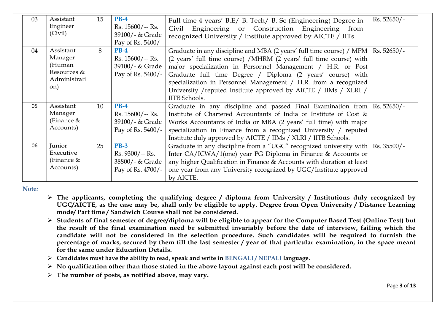| 0 <sup>3</sup> | Assistant<br>Engineer<br>(Civil)                                     | 15 | <b>PB-4</b><br>Rs. 15600/-- Rs.<br>39100/- & Grade<br>Pay of Rs. 5400/- | Full time 4 years' B.E/ B. Tech/ B. Sc (Engineering) Degree in<br>Civil Engineering or Construction Engineering from<br>recognized University / Institute approved by AICTE / IITs.                                                                                                                                                                                                                                                      | $Rs. 52650/-$ |
|----------------|----------------------------------------------------------------------|----|-------------------------------------------------------------------------|------------------------------------------------------------------------------------------------------------------------------------------------------------------------------------------------------------------------------------------------------------------------------------------------------------------------------------------------------------------------------------------------------------------------------------------|---------------|
| 04             | Assistant<br>Manager<br>(Human<br>Resources &<br>Administrati<br>on) | 8  | $PB-4$<br>$Rs. 15600/- Rs.$<br>39100/- & Grade<br>Pay of Rs. 5400/-     | Graduate in any discipline and MBA (2 years' full time course) / MPM  <br>(2 years' full time course) /MHRM (2 years' full time course) with<br>major specialization in Personnel Management / H.R. or Post<br>Graduate full time Degree / Diploma (2 years' course) with<br>specialization in Personnel Management / H.R. from a recognized<br>University / reputed Institute approved by AICTE / IIMs / XLRI /<br><b>IITB</b> Schools. | $Rs. 52650/-$ |
| 0 <sub>5</sub> | Assistant<br>Manager<br>(Finance $&$<br>Accounts)                    | 10 | $PB-4$<br>$Rs. 15600/- Rs.$<br>39100/- & Grade<br>Pay of Rs. 5400/-     | Graduate in any discipline and passed Final Examination from<br>Institute of Chartered Accountants of India or Institute of Cost &<br>Works Accountants of India or MBA (2 years' full time) with major<br>specialization in Finance from a recognized University / reputed<br>Institute duly approved by AICTE / IIMs / XLRI / IITB Schools.                                                                                            | $Rs. 52650/-$ |
| 06             | Junior<br>Executive<br>(Finance $&$<br>Accounts)                     | 25 | <b>PB-3</b><br>$Rs. 9300/- Rs.$<br>38800/- & Grade<br>Pay of Rs. 4700/- | Graduate in any discipline from a "UGC" recognized university with  <br>Inter CA/ICWA/1(one) year PG Diploma in Finance & Accounts or<br>any higher Qualification in Finance & Accounts with duration at least<br>one year from any University recognized by UGC/Institute approved<br>by AICTE.                                                                                                                                         | $Rs. 35500/-$ |

**Note***:* 

- **The applicants, completing the qualifying degree / diploma from University / Institutions duly recognized by UGC/AICTE, as the case may be, shall only be eligible to apply. Degree from Open University / Distance Learning mode/ Part time / Sandwich Course shall not be considered.**
- **Students of final semester of degree/diploma will be eligible to appear for the Computer Based Test (Online Test) but the result of the final examination need be submitted invariably before the date of interview, failing which the candidate will not be considered in the selection procedure. Such candidates will be required to furnish the percentage of marks, secured by them till the last semester / year of that particular examination, in the space meant for the same under Education Details.**
- **Candidates must have the ability to read, speak and write in BENGALI / NEPALI language.**
- **No qualification other than those stated in the above layout against each post will be considered.**
- **The number of posts, as notified above, may vary.**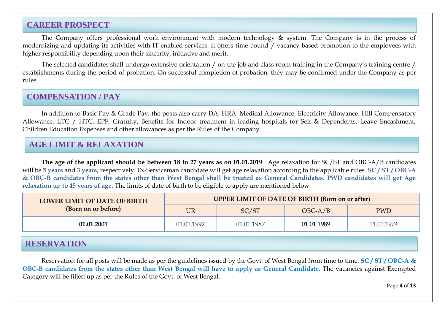## **CAREER PROSPECT**

The Company offers professional work environment with modern technology & system. The Company is in the process of modernizing and updating its activities with IT enabled services. It offers time bound / vacancy based promotion to the employees with higher responsibility depending upon their sincerity, initiative and merit.

The selected candidates shall undergo extensive orientation / on-the-job and class room training in the Company"s training centre / establishments during the period of probation. On successful completion of probation, they may be confirmed under the Company as per rules.

## **COMPENSATION / PAY**

In addition to Basic Pay & Grade Pay, the posts also carry DA, HRA, Medical Allowance, Electricity Allowance, Hill Compensatory Allowance, LTC / HTC, EPF, Gratuity, Benefits for Indoor treatment in leading hospitals for Self & Dependents, Leave Encashment, Children Education Expenses and other allowances as per the Rules of the Company.

## **AGE LIMIT & RELAXATION**

**The age of the applicant should be between 18 to 27 years as on 01.01.2019**. Age relaxation for SC/ST and OBC-A/B candidates will be **5 years** and **3 years,** respectively. Ex-Serviceman candidate will get age relaxation according to the applicable rules. **SC / ST / OBC-A & OBC-B candidates from the states other than West Bengal shall be treated as General Candidates. PWD candidates will get Age relaxation up to 45 years of age.** The limits of date of birth to be eligible to apply are mentioned below:

| <b>LOWER LIMIT OF DATE OF BIRTH</b> | <b>UPPER LIMIT OF DATE OF BIRTH (Born on or after)</b> |            |            |            |  |  |  |  |
|-------------------------------------|--------------------------------------------------------|------------|------------|------------|--|--|--|--|
| (Born on or before)                 | UR                                                     | SC/ST      | $OBC-A/B$  | <b>PWD</b> |  |  |  |  |
| 01.01.2001                          | 01.01.1992                                             | 01.01.1987 | 01.01.1989 | 01.01.1974 |  |  |  |  |

## **RESERVATION**

Reservation for all posts will be made as per the guidelines issued by the Govt. of West Bengal from time to time. **SC / ST / OBC-A & OBC-B candidates from the states other than West Bengal will have to apply as General Candidate.** The vacancies against Exempted Category will be filled up as per the Rules of the Govt. of West Bengal.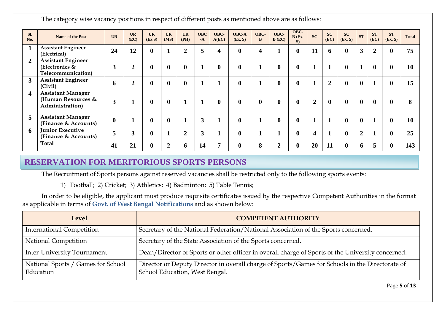The category wise vacancy positions in respect of different posts as mentioned above are as follows:

| SI.<br>No.       | <b>Name of the Post</b>                                              | UR               | <b>UR</b><br>(EC) | <b>UR</b><br>(EX S) | <b>UR</b><br>(MS) | <b>UR</b><br>(PH) | <b>OBC</b><br>$-A$ | OBC-<br>A(EC) | <b>OBC-A</b><br>(Ex. S) | OBC-<br>B        | OBC-<br>$B$ (EC) | OBC-<br>B(Ex.<br>$S$ ) | <b>SC</b>      | SC<br>(EC)     | <b>SC</b><br>(Ex. S) | ST             | ST<br>(EC)     | <b>ST</b><br>(EX, S) | <b>Total</b> |
|------------------|----------------------------------------------------------------------|------------------|-------------------|---------------------|-------------------|-------------------|--------------------|---------------|-------------------------|------------------|------------------|------------------------|----------------|----------------|----------------------|----------------|----------------|----------------------|--------------|
|                  | <b>Assistant Engineer</b><br>(Electrical)                            | 24               | 12                | $\boldsymbol{0}$    |                   | $\overline{2}$    | 5                  |               | $\mathbf{0}$            | 4                |                  | $\bf{0}$               | 11             | 6              | $\mathbf{0}$         | 3 <sup>1</sup> | $\overline{2}$ | $\bf{0}$             | 75           |
| $\overline{2}$   | <b>Assistant Engineer</b><br>(Electronics $\&$<br>Telecommunication) | 3                | $\overline{2}$    | $\boldsymbol{0}$    | $\mathbf 0$       | $\bf{0}$          | и                  | $\bf{0}$      | $\mathbf{0}$            | п                | $\bf{0}$         | $\mathbf{0}$           | -1             |                | $\bf{0}$             | $\mathbf{1}$   | $\bf{0}$       | $\mathbf{0}$         | 10           |
| 3                | <b>Assistant Engineer</b><br>(Civil)                                 | 6                |                   | $\bf{0}$            | $\boldsymbol{0}$  | $\mathbf{0}$      |                    |               | $\mathbf{0}$            |                  | $\bf{0}$         | $\bf{0}$               |                | $\overline{2}$ | $\boldsymbol{0}$     | $\bf{0}$       |                | 0                    | 15           |
| $\boldsymbol{4}$ | <b>Assistant Manager</b><br>(Human Resources &<br>Administration)    | 3                |                   | $\boldsymbol{0}$    | $\mathbf 0$       | п                 |                    | $\mathbf{0}$  | $\mathbf{0}$            | $\boldsymbol{0}$ | $\bf{0}$         | $\mathbf{0}$           | $\overline{2}$ | $\mathbf{0}$   | $\mathbf{0}$         | $\bf{0}$       | $\mathbf{0}$   | 0                    | 8            |
| 5                | <b>Assistant Manager</b><br>(Finance & Accounts)                     | $\boldsymbol{0}$ |                   | $\bf{0}$            | $\boldsymbol{0}$  |                   | 3                  |               | $\mathbf{0}$            | и                | $\bf{0}$         | $\bf{0}$               |                |                | $\bf{0}$             | $\bf{0}$       |                | 0                    | 10           |
| 6                | <b>Junior Executive</b><br>(Finance & Accounts)                      | 5                |                   | $\bf{0}$            |                   | $\overline{2}$    | 3                  |               | $\mathbf{0}$            |                  |                  | $\bf{0}$               | 4              |                | $\mathbf{0}$         | $\overline{2}$ |                |                      | 25           |
|                  | <b>Total</b>                                                         | 41               | 21                | $\bf{0}$            | $\overline{2}$    | 6                 | 14                 |               | $\mathbf{0}$            | 8                | $\overline{2}$   | $\mathbf{0}$           | 20             | 11             | $\bf{0}$             | 6              | 5              | 0                    | 143          |

## **RESERVATION FOR MERITORIOUS SPORTS PERSONS**

The Recruitment of Sports persons against reserved vacancies shall be restricted only to the following sports events:

1) Football; 2) Cricket; 3) Athletics; 4) Badminton; 5) Table Tennis;

In order to be eligible, the applicant must produce requisite certificates issued by the respective Competent Authorities in the format as applicable in terms of **Govt. of West Bengal Notifications** and as shown below:

| <b>Level</b>                                    | <b>COMPETENT AUTHORITY</b>                                                                                                        |  |  |  |  |  |
|-------------------------------------------------|-----------------------------------------------------------------------------------------------------------------------------------|--|--|--|--|--|
| <b>International Competition</b>                | Secretary of the National Federation/National Association of the Sports concerned.                                                |  |  |  |  |  |
| National Competition                            | Secretary of the State Association of the Sports concerned.                                                                       |  |  |  |  |  |
| <b>Inter-University Tournament</b>              | Dean/Director of Sports or other officer in overall charge of Sports of the University concerned.                                 |  |  |  |  |  |
| National Sports / Games for School<br>Education | Director or Deputy Director in overall charge of Sports/Games for Schools in the Directorate of<br>School Education, West Bengal. |  |  |  |  |  |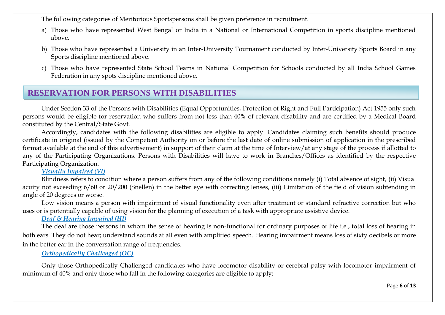The following categories of Meritorious Sportspersons shall be given preference in recruitment.

- a) Those who have represented West Bengal or India in a National or International Competition in sports discipline mentioned above.
- b) Those who have represented a University in an Inter-University Tournament conducted by Inter-University Sports Board in any Sports discipline mentioned above.
- c) Those who have represented State School Teams in National Competition for Schools conducted by all India School Games Federation in any spots discipline mentioned above.

## **RESERVATION FOR PERSONS WITH DISABILITIES**

Under Section 33 of the Persons with Disabilities (Equal Opportunities, Protection of Right and Full Participation) Act 1955 only such persons would be eligible for reservation who suffers from not less than 40% of relevant disability and are certified by a Medical Board constituted by the Central/State Govt.

Accordingly, candidates with the following disabilities are eligible to apply. Candidates claiming such benefits should produce certificate in original (issued by the Competent Authority on or before the last date of online submission of application in the prescribed format available at the end of this advertisement) in support of their claim at the time of Interview/at any stage of the process if allotted to any of the Participating Organizations. Persons with Disabilities will have to work in Branches/Offices as identified by the respective Participating Organization.

#### *Visually Impaired (VI)*

Blindness refers to condition where a person suffers from any of the following conditions namely (i) Total absence of sight, (ii) Visual acuity not exceeding 6/60 or 20/200 (Snellen) in the better eye with correcting lenses, (iii) Limitation of the field of vision subtending in angle of 20 degrees or worse.

Low vision means a person with impairment of visual functionality even after treatment or standard refractive correction but who uses or is potentially capable of using vision for the planning of execution of a task with appropriate assistive device.

#### *Deaf & Hearing Impaired (HI)*

The deaf are those persons in whom the sense of hearing is non-functional for ordinary purposes of life i.e., total loss of hearing in both ears. They do not hear; understand sounds at all even with amplified speech. Hearing impairment means loss of sixty decibels or more in the better ear in the conversation range of frequencies.

#### *Orthopedically Challenged (OC)*

Only those Orthopedically Challenged candidates who have locomotor disability or cerebral palsy with locomotor impairment of minimum of 40% and only those who fall in the following categories are eligible to apply: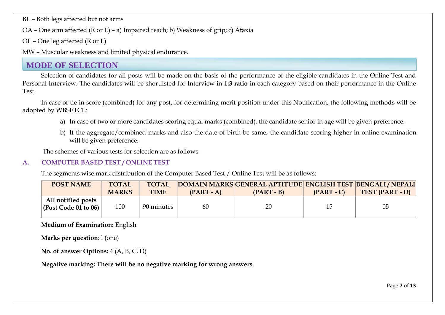BL – Both legs affected but not arms

OA – One arm affected (R or L):– a) Impaired reach; b) Weakness of grip; c) Ataxia

OL – One leg affected (R or L)

MW – Muscular weakness and limited physical endurance.

## **MODE OF SELECTION**

Selection of candidates for all posts will be made on the basis of the performance of the eligible candidates in the Online Test and Personal Interview. The candidates will be shortlisted for Interview in **1:3 ratio** in each category based on their performance in the Online Test.

In case of tie in score (combined) for any post, for determining merit position under this Notification, the following methods will be adopted by WBSETCL:

- a) In case of two or more candidates scoring equal marks (combined), the candidate senior in age will be given preference.
- b) If the aggregate/combined marks and also the date of birth be same, the candidate scoring higher in online examination will be given preference.

The schemes of various tests for selection are as follows:

#### **A. COMPUTER BASED TEST / ONLINE TEST**

The segments wise mark distribution of the Computer Based Test / Online Test will be as follows:

| <b>POST NAME</b>                                           | <b>TOTAL</b> | <b>TOTAL</b> |              | DOMAIN MARKS GENERAL APTITUDE ENGLISH TEST BENGALI / NEPALI |              |                 |
|------------------------------------------------------------|--------------|--------------|--------------|-------------------------------------------------------------|--------------|-----------------|
|                                                            | <b>MARKS</b> | <b>TIME</b>  | $(PART - A)$ | $(PART - B)$                                                | $(PART - C)$ | TEST (PART - D) |
| All notified posts<br>$\vert$ (Post Code 01 to 06) $\vert$ | 100          | 90 minutes   | 60           | 20                                                          | 15           | 05              |

**Medium of Examination:** English

**Marks per question**: l (one)

**No. of answer Options:** 4 (A, B, C, D)

**Negative marking: There will be no negative marking for wrong answers**.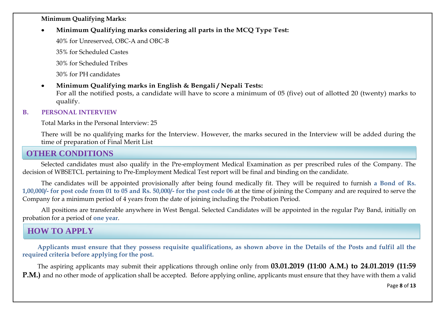#### **Minimum Qualifying Marks:**

**Minimum Qualifying marks considering all parts in the MCQ Type Test:**

40% for Unreserved, OBC-A and OBC-B

35% for Scheduled Castes

30% for Scheduled Tribes

30% for PH candidates

#### **Minimum Qualifying marks in English & Bengali / Nepali Tests:**

For all the notified posts, a candidate will have to score a minimum of 05 (five) out of allotted 20 (twenty) marks to qualify.

#### **B. PERSONAL INTERVIEW**

Total Marks in the Personal Interview: 25

There will be no qualifying marks for the Interview. However, the marks secured in the Interview will be added during the time of preparation of Final Merit List

## **OTHER CONDITIONS**

Selected candidates must also qualify in the Pre-employment Medical Examination as per prescribed rules of the Company. The decision of WBSETCL pertaining to Pre-Employment Medical Test report will be final and binding on the candidate.

The candidates will be appointed provisionally after being found medically fit. They will be required to furnish **a Bond of Rs. 1,00,000/- for post code from 01 to 05 and Rs. 50,000/- for the post code 06** at the time of joining the Company and are required to serve the Company for a minimum period of 4 years from the date of joining including the Probation Period.

All positions are transferable anywhere in West Bengal. Selected Candidates will be appointed in the regular Pay Band, initially on probation for a period of **one year**.

## **HOW TO APPLY**

**Applicants must ensure that they possess requisite qualifications, as shown above in the Details of the Posts and fulfil all the required criteria before applying for the post.**

The aspiring applicants may submit their applications through online only from **03.01.2019 (11:00 A.M.) to 24.01.2019 (11:59 P.M.**) and no other mode of application shall be accepted. Before applying online, applicants must ensure that they have with them a valid

Page **8** of **13**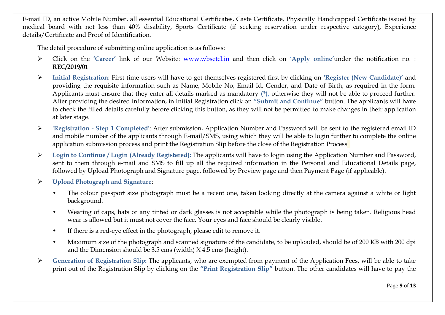E-mail ID, an active Mobile Number, all essential Educational Certificates, Caste Certificate, Physically Handicapped Certificate issued by medical board with not less than 40% disability, Sports Certificate (if seeking reservation under respective category), Experience details/Certificate and Proof of Identification.

The detail procedure of submitting online application is as follows:

- Click on the **"Career"** link of our Website: [www.wbsetcl.in](http://www.wbsetcl.in/) and then click on **"Apply online"**under the notification no. : **REC/2019/01**
- **Initial Registration**: First time users will have to get themselves registered first by clicking on **"Register (New Candidate)"** and providing the requisite information such as Name, Mobile No, Email Id, Gender, and Date of Birth, as required in the form. Applicants must ensure that they enter all details marked as mandatory **(\*),** otherwise they will not be able to proceed further. After providing the desired information, in Initial Registration click on **"Submit and Continue"** button. The applicants will have to check the filled details carefully before clicking this button, as they will not be permitted to make changes in their application at later stage.
- **'Registration - Step 1 Completed'**: After submission, Application Number and Password will be sent to the registered email ID and mobile number of the applicants through E-mail/SMS, using which they will be able to login further to complete the online application submission process and print the Registration Slip before the close of the Registration Process.
- **Login to Continue / Login (Already Registered):** The applicants will have to login using the Application Number and Password, sent to them through e-mail and SMS to fill up all the required information in the Personal and Educational Details page, followed by Upload Photograph and Signature page, followed by Preview page and then Payment Page (if applicable).
- **Upload Photograph and Signature**:
	- The colour passport size photograph must be a recent one, taken looking directly at the camera against a white or light background.
	- Wearing of caps, hats or any tinted or dark glasses is not acceptable while the photograph is being taken. Religious head wear is allowed but it must not cover the face. Your eyes and face should be clearly visible.
	- If there is a red-eye effect in the photograph, please edit to remove it.
	- Maximum size of the photograph and scanned signature of the candidate, to be uploaded, should be of 200 KB with 200 dpi and the Dimension should be 3.5 cms (width) X 4.5 cms (height).
- **Generation of Registration Slip:** The applicants, who are exempted from payment of the Application Fees, will be able to take print out of the Registration Slip by clicking on the **"Print Registration Slip"** button. The other candidates will have to pay the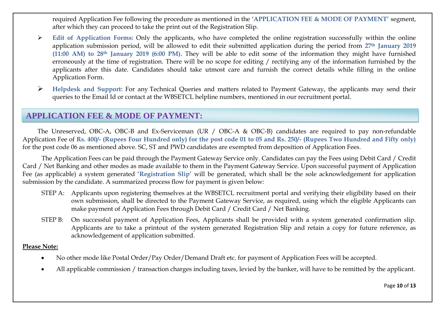required Application Fee following the procedure as mentioned in the **"APPLICATION FEE & MODE OF PAYMENT"** segment, after which they can proceed to take the print out of the Registration Slip.

- **Edit of Application Forms:** Only the applicants, who have completed the online registration successfully within the online application submission period, will be allowed to edit their submitted application during the period from **27th January 2019 (11:00 AM) to 28th January 2019 (6:00 PM).** They will be able to edit some of the information they might have furnished erroneously at the time of registration. There will be no scope for editing / rectifying any of the information furnished by the applicants after this date. Candidates should take utmost care and furnish the correct details while filling in the online Application Form.
- **Helpdesk and Support:** For any Technical Queries and matters related to Payment Gateway, the applicants may send their queries to the Email Id or contact at the WBSETCL helpline numbers, mentioned in our recruitment portal.

## **APPLICATION FEE & MODE OF PAYMENT:**

The Unreserved, OBC-A, OBC-B and Ex-Serviceman (UR / OBC-A & OBC-B) candidates are required to pay non-refundable Application Fee of **Rs. 400/- (Rupees Four Hundred only) for the post code 01 to 05 and Rs. 250/- (Rupees Two Hundred and Fifty only)**  for the post code 06 as mentioned above. SC, ST and PWD candidates are exempted from deposition of Application Fees.

The Application Fees can be paid through the Payment Gateway Service only. Candidates can pay the Fees using Debit Card / Credit Card / Net Banking and other modes as made available to them in the Payment Gateway Service. Upon successful payment of Application Fee (as applicable) a system generated "**Registration Slip"** will be generated, which shall be the sole acknowledgement for application submission by the candidate. A summarized process flow for payment is given below:

- STEP A: Applicants upon registering themselves at the WBSETCL recruitment portal and verifying their eligibility based on their own submission, shall be directed to the Payment Gateway Service, as required, using which the eligible Applicants can make payment of Application Fees through Debit Card / Credit Card / Net Banking.
- STEP B: On successful payment of Application Fees, Applicants shall be provided with a system generated confirmation slip. Applicants are to take a printout of the system generated Registration Slip and retain a copy for future reference, as acknowledgement of application submitted.

#### **Please Note:**

- No other mode like Postal Order/Pay Order/Demand Draft etc. for payment of Application Fees will be accepted.
- All applicable commission / transaction charges including taxes, levied by the banker, will have to be remitted by the applicant.

Page **10** of **13**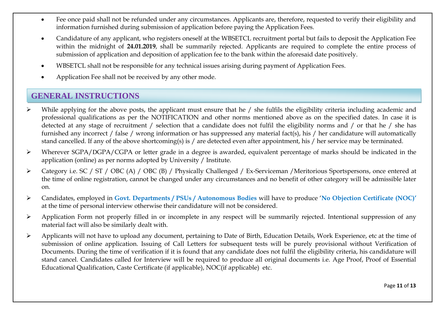- Fee once paid shall not be refunded under any circumstances. Applicants are, therefore, requested to verify their eligibility and information furnished during submission of application before paying the Application Fees.
- Candidature of any applicant, who registers oneself at the WBSETCL recruitment portal but fails to deposit the Application Fee within the midnight of **24.01.2019**, shall be summarily rejected. Applicants are required to complete the entire process of submission of application and deposition of application fee to the bank within the aforesaid date positively.
- WBSETCL shall not be responsible for any technical issues arising during payment of Application Fees.
- Application Fee shall not be received by any other mode.

## **GENERAL INSTRUCTIONS**

- $\triangleright$  While applying for the above posts, the applicant must ensure that he / she fulfils the eligibility criteria including academic and professional qualifications as per the NOTIFICATION and other norms mentioned above as on the specified dates. In case it is detected at any stage of recruitment / selection that a candidate does not fulfil the eligibility norms and / or that he / she has furnished any incorrect / false / wrong information or has suppressed any material fact(s), his / her candidature will automatically stand cancelled. If any of the above shortcoming(s) is / are detected even after appointment, his / her service may be terminated.
- Wherever SGPA/DGPA/CGPA or letter grade in a degree is awarded, equivalent percentage of marks should be indicated in the application (online) as per norms adopted by University / Institute.
- Category i.e. SC / ST / OBC (A) / OBC (B) / Physically Challenged / Ex-Serviceman /Meritorious Sportspersons, once entered at the time of online registration, cannot be changed under any circumstances and no benefit of other category will be admissible later on.
- Candidates, employed in **Govt. Departments / PSUs / Autonomous Bodies** will have to produce "**No Objection Certificate (NOC)"** at the time of personal interview otherwise their candidature will not be considered.
- $\triangleright$  Application Form not properly filled in or incomplete in any respect will be summarily rejected. Intentional suppression of any material fact will also be similarly dealt with.
- Applicants will not have to upload any document, pertaining to Date of Birth, Education Details, Work Experience, etc at the time of submission of online application. Issuing of Call Letters for subsequent tests will be purely provisional without Verification of Documents. During the time of verification if it is found that any candidate does not fulfil the eligibility criteria, his candidature will stand cancel. Candidates called for Interview will be required to produce all original documents i.e. Age Proof, Proof of Essential Educational Qualification, Caste Certificate (if applicable), NOC(if applicable) etc.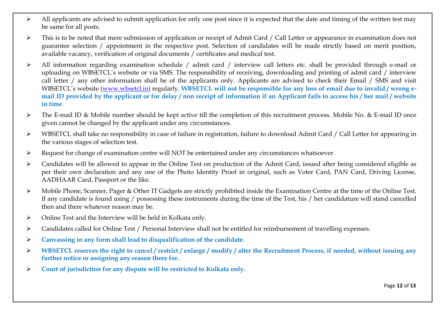- $\triangleright$  All applicants are advised to submit application for only one post since it is expected that the date and timing of the written test may be same for all posts.
- $\triangleright$  This is to be noted that mere submission of application or receipt of Admit Card / Call Letter or appearance in examination does not guarantee selection / appointment in the respective post. Selection of candidates will be made strictly based on merit position, available vacancy, verification of original documents / certificates and medical test.
- All information regarding examination schedule / admit card / interview call letters etc. shall be provided through e-mail or uploading on WBSETCL"s website or via SMS. The responsibility of receiving, downloading and printing of admit card / interview call letter / any other information shall be of the applicants only. Applicants are advised to check their Email / SMS and visit WBSETCL"s website ([www.wbsetcl.in\)](http://www.wbsetcl.in/) regularly. **WBSETCL will not be responsible for any loss of email due to invalid / wrong email ID provided by the applicant or for delay / non receipt of information if an Applicant fails to access his / her mail / website in time**.
- The E-mail ID & Mobile number should be kept active till the completion of this recruitment process. Mobile No. & E-mail ID once given cannot be changed by the applicant under any circumstances.
- WBSETCL shall take no responsibility in case of failure in registration, failure to download Admit Card / Call Letter for appearing in the various stages of selection test.
- Request for change of examination centre will NOT be entertained under any circumstances whatsoever.
- Candidates will be allowed to appear in the Online Test on production of the Admit Card, issued after being considered eligible as per their own declaration and any one of the Photo Identity Proof in original, such as Voter Card, PAN Card, Driving License, AADHAAR Card, Passport or the like.
- $\triangleright$  Mobile Phone, Scanner, Pager & Other IT Gadgets are strictly prohibited inside the Examination Centre at the time of the Online Test. If any candidate is found using / possessing these instruments during the time of the Test, his / her candidature will stand cancelled then and there whatever reason may be.
- Online Test and the Interview will be held in Kolkata only.
- Candidates called for Online Test / Personal Interview shall not be entitled for reimbursement of travelling expenses.
- **Canvassing in any form shall lead to disqualification of the candidate.**
- **WBSETCL reserves the right to cancel / restrict / enlarge / modify / alter the Recruitment Process, if needed, without issuing any further notice or assigning any reason there for.**
- **Court of jurisdiction for any dispute will be restricted to Kolkata only.**